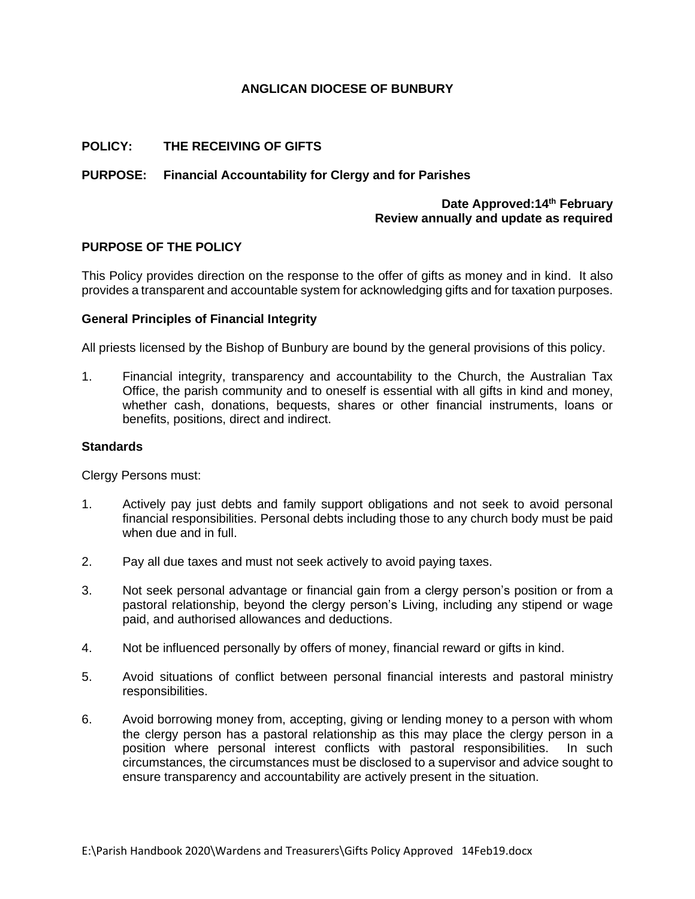# **ANGLICAN DIOCESE OF BUNBURY**

# **POLICY: THE RECEIVING OF GIFTS**

# **PURPOSE: Financial Accountability for Clergy and for Parishes**

## **Date Approved:14th February Review annually and update as required**

## **PURPOSE OF THE POLICY**

This Policy provides direction on the response to the offer of gifts as money and in kind. It also provides a transparent and accountable system for acknowledging gifts and for taxation purposes.

#### **General Principles of Financial Integrity**

All priests licensed by the Bishop of Bunbury are bound by the general provisions of this policy.

1. Financial integrity, transparency and accountability to the Church, the Australian Tax Office, the parish community and to oneself is essential with all gifts in kind and money, whether cash, donations, bequests, shares or other financial instruments, loans or benefits, positions, direct and indirect.

#### **Standards**

Clergy Persons must:

- 1. Actively pay just debts and family support obligations and not seek to avoid personal financial responsibilities. Personal debts including those to any church body must be paid when due and in full.
- 2. Pay all due taxes and must not seek actively to avoid paying taxes.
- 3. Not seek personal advantage or financial gain from a clergy person's position or from a pastoral relationship, beyond the clergy person's Living, including any stipend or wage paid, and authorised allowances and deductions.
- 4. Not be influenced personally by offers of money, financial reward or gifts in kind.
- 5. Avoid situations of conflict between personal financial interests and pastoral ministry responsibilities.
- 6. Avoid borrowing money from, accepting, giving or lending money to a person with whom the clergy person has a pastoral relationship as this may place the clergy person in a position where personal interest conflicts with pastoral responsibilities. In such circumstances, the circumstances must be disclosed to a supervisor and advice sought to ensure transparency and accountability are actively present in the situation.